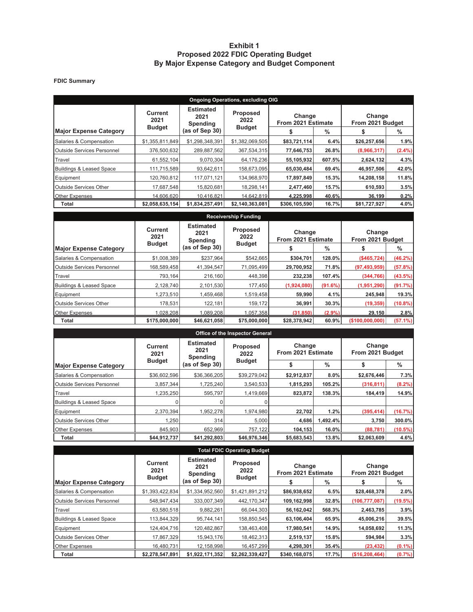### **Exhibit 1 Proposed 2022 FDIC Operating Budget By Major Expense Category and Budget Component**

#### **FDIC Summary**

| <b>Ongoing Operations, excluding OIG</b> |                        |                                      |                         |                              |        |                            |           |  |  |  |  |
|------------------------------------------|------------------------|--------------------------------------|-------------------------|------------------------------|--------|----------------------------|-----------|--|--|--|--|
|                                          | <b>Current</b><br>2021 | <b>Estimated</b><br>2021<br>Spending | <b>Proposed</b><br>2022 | Change<br>From 2021 Estimate |        | Change<br>From 2021 Budget |           |  |  |  |  |
| <b>Major Expense Category</b>            | <b>Budget</b>          | (as of Sep 30)                       | <b>Budget</b>           |                              | %      |                            | %         |  |  |  |  |
| Salaries & Compensation                  | \$1,355,811,849        | \$1,298,348,391                      | \$1,382,069,505         | \$83,721,114                 | 6.4%   | \$26,257,656               | 1.9%      |  |  |  |  |
| Outside Services Personnel               | 376,500,632            | 289,887,562                          | 367,534,315             | 77,646,753                   | 26.8%  | (8,966,317)                | $(2.4\%)$ |  |  |  |  |
| Travel                                   | 61,552,104             | 9,070,304                            | 64,176,236              | 55,105,932                   | 607.5% | 2,624,132                  | 4.3%      |  |  |  |  |
| <b>Buildings &amp; Leased Space</b>      | 111,715,589            | 93,642,611                           | 158.673.095             | 65,030,484                   | 69.4%  | 46,957,506                 | 42.0%     |  |  |  |  |
| Equipment                                | 120.760.812            | 117.071.121                          | 134,968,970             | 17,897,849                   | 15.3%  | 14,208,158                 | 11.8%     |  |  |  |  |
| <b>Outside Services Other</b>            | 17,687,548             | 15,820,681                           | 18,298,141              | 2,477,460                    | 15.7%  | 610,593                    | 3.5%      |  |  |  |  |
| <b>Other Expenses</b>                    | 14,606,620             | 10,416,821                           | 14,642,819              | 4,225,998                    | 40.6%  | 36,199                     | 0.2%      |  |  |  |  |
| Total                                    | \$2,058,635,154        | \$1,834,257,491                      | \$2,140,363,081         | \$306,105,590                | 16.7%  | \$81,727,927               | 4.0%      |  |  |  |  |

| <b>Receivership Funding</b>       |                        |                                      |                  |                              |           |                            |            |  |  |  |  |  |
|-----------------------------------|------------------------|--------------------------------------|------------------|------------------------------|-----------|----------------------------|------------|--|--|--|--|--|
|                                   | <b>Current</b><br>2021 | <b>Estimated</b><br>2021<br>Spending | Proposed<br>2022 | Change<br>From 2021 Estimate |           | Change<br>From 2021 Budget |            |  |  |  |  |  |
| <b>Major Expense Category</b>     | <b>Budget</b>          | (as of Sep <sub>30</sub> )           | <b>Budget</b>    |                              | %         |                            | %          |  |  |  |  |  |
| Salaries & Compensation           | \$1,008,389            | \$237.964                            | \$542,665        | \$304,701                    | 128.0%    | (\$465,724)                | $(46.2\%)$ |  |  |  |  |  |
| <b>Outside Services Personnel</b> | 168,589,458            | 41,394,547                           | 71,095,499       | 29,700,952                   | 71.8%     | (97, 493, 959)             | (57.8%)    |  |  |  |  |  |
| Travel                            | 793.164                | 216.160                              | 448,398          | 232,238                      | 107.4%    | (344, 766)                 | (43.5%)    |  |  |  |  |  |
| Buildings & Leased Space          | 2,128,740              | 2,101,530                            | 177,450          | (1,924,080)                  | (91.6%)   | (1,951,290)                | (91.7%)    |  |  |  |  |  |
| Equipment                         | 1,273,510              | 1,459,468                            | 1,519,458        | 59,990                       | 4.1%      | 245,948                    | 19.3%      |  |  |  |  |  |
| Outside Services Other            | 178,531                | 122,181                              | 159,172          | 36,991                       | 30.3%     | (19, 359)                  | $(10.8\%)$ |  |  |  |  |  |
| <b>Other Expenses</b>             | 1,028,208              | 1.089.208                            | 1,057,358        | (31, 850)                    | $(2.9\%)$ | 29,150                     | 2.8%       |  |  |  |  |  |
| Total                             | \$175,000,000          | \$46,621,058                         | \$75,000,000     | \$28,378,942                 | 60.9%     | (\$100,000,000)            | $(57.1\%)$ |  |  |  |  |  |

| Office of the Inspector General |                 |                                      |                         |                              |          |                            |            |  |  |  |  |
|---------------------------------|-----------------|--------------------------------------|-------------------------|------------------------------|----------|----------------------------|------------|--|--|--|--|
|                                 | Current<br>2021 | <b>Estimated</b><br>2021<br>Spending | <b>Proposed</b><br>2022 | Change<br>From 2021 Estimate |          | Change<br>From 2021 Budget |            |  |  |  |  |
| <b>Major Expense Category</b>   | <b>Budget</b>   | (as of Sep 30)                       | <b>Budget</b>           |                              | $\%$     |                            | $\%$       |  |  |  |  |
| Salaries & Compensation         | \$36,602,596    | \$36,366,205                         | \$39,279,042            | \$2,912,837                  | 8.0%     | \$2,676,446                | 7.3%       |  |  |  |  |
| Outside Services Personnel      | 3,857,344       | 1,725,240                            | 3,540,533               | 1,815,293                    | 105.2%   | (316, 811)                 | $(8.2\%)$  |  |  |  |  |
| Travel                          | 1,235,250       | 595.797                              | 1,419,669               | 823,872                      | 138.3%   | 184,419                    | 14.9%      |  |  |  |  |
| Buildings & Leased Space        |                 |                                      |                         |                              |          |                            |            |  |  |  |  |
| Equipment                       | 2,370,394       | 1,952,278                            | 1,974,980               | 22,702                       | 1.2%     | (395, 414)                 | (16.7%)    |  |  |  |  |
| <b>Outside Services Other</b>   | 1,250           | 314                                  | 5,000                   | 4,686                        | 1,492.4% | 3,750                      | 300.0%     |  |  |  |  |
| <b>Other Expenses</b>           | 845,903         | 652,969                              | 757,122                 | 104,153                      | 16.0%    | (88, 781)                  | $(10.5\%)$ |  |  |  |  |
| Total                           | \$44,912,737    | \$41,292,803                         | \$46,976,346            | \$5,683,543                  | 13.8%    | \$2,063,609                | 4.6%       |  |  |  |  |

| <b>Total FDIC Operating Budget</b> |                        |                                      |                         |                              |        |                            |           |  |  |  |  |
|------------------------------------|------------------------|--------------------------------------|-------------------------|------------------------------|--------|----------------------------|-----------|--|--|--|--|
|                                    | <b>Current</b><br>2021 | <b>Estimated</b><br>2021<br>Spending | <b>Proposed</b><br>2022 | Change<br>From 2021 Estimate |        | Change<br>From 2021 Budget |           |  |  |  |  |
| <b>Major Expense Category</b>      | <b>Budget</b>          | (as of Sep 30)                       | <b>Budget</b>           |                              | %      |                            | %         |  |  |  |  |
| Salaries & Compensation            | \$1,393,422,834        | \$1,334,952,560                      | \$1,421,891,212         | \$86,938,652                 | 6.5%   | \$28,468,378               | 2.0%      |  |  |  |  |
| <b>Outside Services Personnel</b>  | 548,947,434            | 333,007,349                          | 442,170,347             | 109,162,998                  | 32.8%  | (106, 777, 087)            | (19.5%)   |  |  |  |  |
| Travel                             | 63,580,518             | 9,882,261                            | 66,044,303              | 56,162,042                   | 568.3% | 2,463,785                  | 3.9%      |  |  |  |  |
| Buildings & Leased Space           | 113,844,329            | 95,744,141                           | 158,850,545             | 63,106,404                   | 65.9%  | 45,006,216                 | 39.5%     |  |  |  |  |
| Equipment                          | 124,404,716            | 120,482,867                          | 138,463,408             | 17,980,541                   | 14.9%  | 14,058,692                 | 11.3%     |  |  |  |  |
| <b>Outside Services Other</b>      | 17,867,329             | 15,943,176                           | 18,462,313              | 2,519,137                    | 15.8%  | 594,984                    | 3.3%      |  |  |  |  |
| <b>Other Expenses</b>              | 16.480.731             | 12,158,998                           | 16,457,299              | 4,298,301                    | 35.4%  | (23, 432)                  | $(0.1\%)$ |  |  |  |  |
| Total                              | \$2,278,547,891        | \$1,922,171,352                      | \$2,262,339,427         | \$340,168,075                | 17.7%  | (\$16,208,464)             | (0.7%     |  |  |  |  |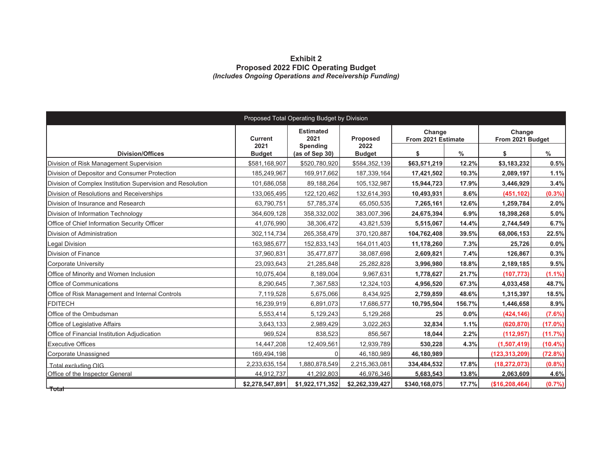#### **Exhibit 2 Proposed 2022 FDIC Operating Budget**  *(Includes Ongoing Operations and Receivership Funding)*

| Proposed Total Operating Budget by Division                |                 |                                      |                  |                              |               |                            |            |  |  |  |  |
|------------------------------------------------------------|-----------------|--------------------------------------|------------------|------------------------------|---------------|----------------------------|------------|--|--|--|--|
|                                                            | Current<br>2021 | <b>Estimated</b><br>2021<br>Spending | Proposed<br>2022 | Change<br>From 2021 Estimate |               | Change<br>From 2021 Budget |            |  |  |  |  |
| <b>Division/Offices</b>                                    | <b>Budget</b>   | (as of Sep 30)                       | <b>Budget</b>    | \$                           | $\frac{0}{0}$ | \$                         | $\%$       |  |  |  |  |
| Division of Risk Management Supervision                    | \$581,168,907   | \$520,780,920                        | \$584,352,139    | \$63,571,219                 | 12.2%         | \$3,183,232                | 0.5%       |  |  |  |  |
| Division of Depositor and Consumer Protection              | 185,249,967     | 169,917,662                          | 187,339,164      | 17,421,502                   | 10.3%         | 2,089,197                  | 1.1%       |  |  |  |  |
| Division of Complex Institution Supervision and Resolution | 101,686,058     | 89,188,264                           | 105,132,987      | 15,944,723                   | 17.9%         | 3,446,929                  | 3.4%       |  |  |  |  |
| Division of Resolutions and Receiverships                  | 133,065,495     | 122,120,462                          | 132,614,393      | 10,493,931                   | 8.6%          | (451, 102)                 | $(0.3\%)$  |  |  |  |  |
| Division of Insurance and Research                         | 63,790,751      | 57,785,374                           | 65,050,535       | 7,265,161                    | 12.6%         | 1,259,784                  | 2.0%       |  |  |  |  |
| Division of Information Technology                         | 364,609,128     | 358,332,002                          | 383,007,396      | 24,675,394                   | 6.9%          | 18,398,268                 | 5.0%       |  |  |  |  |
| Office of Chief Information Security Officer               | 41,076,990      | 38,306,472                           | 43,821,539       | 5,515,067                    | 14.4%         | 2,744,549                  | 6.7%       |  |  |  |  |
| Division of Administration                                 | 302,114,734     | 265,358,479                          | 370,120,887      | 104,762,408                  | 39.5%         | 68,006,153                 | 22.5%      |  |  |  |  |
| <b>Legal Division</b>                                      | 163,985,677     | 152,833,143                          | 164,011,403      | 11,178,260                   | 7.3%          | 25,726                     | 0.0%       |  |  |  |  |
| Division of Finance                                        | 37,960,831      | 35,477,877                           | 38,087,698       | 2,609,821                    | 7.4%          | 126,867                    | 0.3%       |  |  |  |  |
| Corporate University                                       | 23,093,643      | 21,285,848                           | 25,282,828       | 3,996,980                    | 18.8%         | 2,189,185                  | 9.5%       |  |  |  |  |
| Office of Minority and Women Inclusion                     | 10,075,404      | 8,189,004                            | 9,967,631        | 1,778,627                    | 21.7%         | (107, 773)                 | $(1.1\%)$  |  |  |  |  |
| <b>Office of Communications</b>                            | 8,290,645       | 7,367,583                            | 12,324,103       | 4,956,520                    | 67.3%         | 4,033,458                  | 48.7%      |  |  |  |  |
| Office of Risk Management and Internal Controls            | 7,119,528       | 5,675,066                            | 8,434,925        | 2,759,859                    | 48.6%         | 1,315,397                  | 18.5%      |  |  |  |  |
| <b>FDITECH</b>                                             | 16,239,919      | 6,891,073                            | 17,686,577       | 10,795,504                   | 156.7%        | 1,446,658                  | 8.9%       |  |  |  |  |
| Office of the Ombudsman                                    | 5,553,414       | 5,129,243                            | 5,129,268        | 25                           | 0.0%          | (424, 146)                 | $(7.6\%)$  |  |  |  |  |
| Office of Legislative Affairs                              | 3,643,133       | 2,989,429                            | 3,022,263        | 32,834                       | 1.1%          | (620, 870)                 | $(17.0\%)$ |  |  |  |  |
| Office of Financial Institution Adjudication               | 969,524         | 838,523                              | 856,567          | 18,044                       | 2.2%          | (112, 957)                 | (11.7%)    |  |  |  |  |
| <b>Executive Offices</b>                                   | 14,447,208      | 12,409,561                           | 12,939,789       | 530,228                      | 4.3%          | (1,507,419)                | $(10.4\%)$ |  |  |  |  |
| Corporate Unassigned                                       | 169,494,198     | $\Omega$                             | 46,180,989       | 46,180,989                   |               | (123, 313, 209)            | (72.8%)    |  |  |  |  |
| Total excluding OIG                                        | 2,233,635,154   | 1,880,878,549                        | 2,215,363,081    | 334,484,532                  | 17.8%         | (18, 272, 073)             | (0.8% )    |  |  |  |  |
| Office of the Inspector General                            | 44,912,737      | 41,292,803                           | 46,976,346       | 5,683,543                    | 13.8%         | 2,063,609                  | 4.6%       |  |  |  |  |
| $-$ Total $-$                                              | \$2,278,547,891 | \$1,922,171,352                      | \$2,262,339,427  | \$340,168,075                | 17.7%         | (\$16,208,464)             | (0.7%)     |  |  |  |  |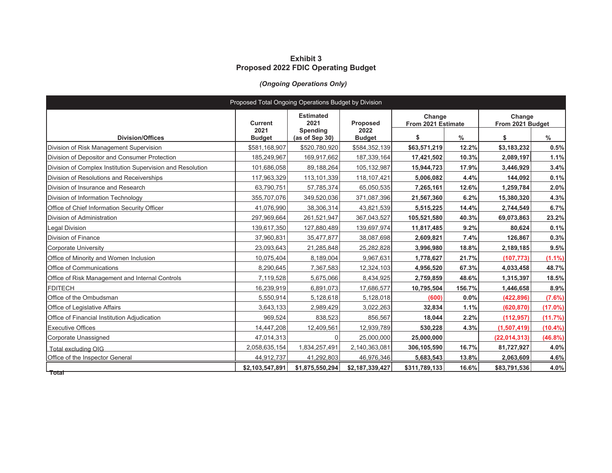### **Exhibit 3 Proposed 2022 FDIC Operating Budget**

## *(Ongoing Operations Only)*

| Proposed Total Ongoing Operations Budget by Division       |                       |                            |                       |                              |        |                            |            |  |  |  |  |
|------------------------------------------------------------|-----------------------|----------------------------|-----------------------|------------------------------|--------|----------------------------|------------|--|--|--|--|
|                                                            | <b>Current</b>        | <b>Estimated</b><br>2021   | Proposed              | Change<br>From 2021 Estimate |        | Change<br>From 2021 Budget |            |  |  |  |  |
| <b>Division/Offices</b>                                    | 2021<br><b>Budget</b> | Spending<br>(as of Sep 30) | 2022<br><b>Budget</b> | \$                           | $\%$   | \$                         | $\%$       |  |  |  |  |
| Division of Risk Management Supervision                    | \$581,168,907         | \$520,780,920              | \$584,352,139         | \$63,571,219                 | 12.2%  | \$3,183,232                | 0.5%       |  |  |  |  |
| Division of Depositor and Consumer Protection              | 185,249,967           | 169,917,662                | 187,339,164           | 17,421,502                   | 10.3%  | 2,089,197                  | 1.1%       |  |  |  |  |
| Division of Complex Institution Supervision and Resolution | 101.686.058           | 89,188,264                 | 105,132,987           | 15,944,723                   | 17.9%  | 3,446,929                  | 3.4%       |  |  |  |  |
| Division of Resolutions and Receiverships                  | 117,963,329           | 113,101,339                | 118, 107, 421         | 5,006,082                    | 4.4%   | 144,092                    | 0.1%       |  |  |  |  |
| Division of Insurance and Research                         | 63,790,751            | 57,785,374                 | 65,050,535            | 7,265,161                    | 12.6%  | 1,259,784                  | 2.0%       |  |  |  |  |
| Division of Information Technology                         | 355,707,076           | 349,520,036                | 371,087,396           | 21,567,360                   | 6.2%   | 15,380,320                 | 4.3%       |  |  |  |  |
| Office of Chief Information Security Officer               | 41,076,990            | 38,306,314                 | 43,821,539            | 5,515,225                    | 14.4%  | 2,744,549                  | 6.7%       |  |  |  |  |
| Division of Administration                                 | 297,969,664           | 261,521,947                | 367,043,527           | 105,521,580                  | 40.3%  | 69,073,863                 | 23.2%      |  |  |  |  |
| <b>Legal Division</b>                                      | 139,617,350           | 127,880,489                | 139,697,974           | 11,817,485                   | 9.2%   | 80,624                     | 0.1%       |  |  |  |  |
| Division of Finance                                        | 37,960,831            | 35,477,877                 | 38,087,698            | 2,609,821                    | 7.4%   | 126,867                    | 0.3%       |  |  |  |  |
| Corporate University                                       | 23,093,643            | 21,285,848                 | 25,282,828            | 3,996,980                    | 18.8%  | 2,189,185                  | 9.5%       |  |  |  |  |
| Office of Minority and Women Inclusion                     | 10,075,404            | 8,189,004                  | 9,967,631             | 1,778,627                    | 21.7%  | (107, 773)                 | $(1.1\%)$  |  |  |  |  |
| <b>Office of Communications</b>                            | 8,290,645             | 7,367,583                  | 12,324,103            | 4,956,520                    | 67.3%  | 4,033,458                  | 48.7%      |  |  |  |  |
| Office of Risk Management and Internal Controls            | 7,119,528             | 5,675,066                  | 8,434,925             | 2,759,859                    | 48.6%  | 1,315,397                  | 18.5%      |  |  |  |  |
| <b>FDITECH</b>                                             | 16,239,919            | 6,891,073                  | 17,686,577            | 10,795,504                   | 156.7% | 1,446,658                  | 8.9%       |  |  |  |  |
| Office of the Ombudsman                                    | 5,550,914             | 5,128,618                  | 5,128,018             | (600)                        | 0.0%   | (422, 896)                 | (7.6%)     |  |  |  |  |
| <b>Office of Legislative Affairs</b>                       | 3,643,133             | 2,989,429                  | 3,022,263             | 32,834                       | 1.1%   | (620, 870)                 | (17.0%)    |  |  |  |  |
| Office of Financial Institution Adjudication               | 969,524               | 838,523                    | 856,567               | 18,044                       | 2.2%   | (112, 957)                 | (11.7%)    |  |  |  |  |
| <b>Executive Offices</b>                                   | 14,447,208            | 12,409,561                 | 12,939,789            | 530,228                      | 4.3%   | (1,507,419)                | $(10.4\%)$ |  |  |  |  |
| Corporate Unassigned                                       | 47,014,313            |                            | 25,000,000            | 25,000,000                   |        | (22, 014, 313)             | $(46.8\%)$ |  |  |  |  |
| Total excluding OIG                                        | 2,058,635,154         | 1,834,257,491              | 2,140,363,081         | 306,105,590                  | 16.7%  | 81,727,927                 | 4.0%       |  |  |  |  |
| Office of the Inspector General                            | 44,912,737            | 41,292,803                 | 46,976,346            | 5,683,543                    | 13.8%  | 2,063,609                  | 4.6%       |  |  |  |  |
| $-$ Total $-$                                              | \$2,103,547,891       | \$1,875,550,294            | \$2,187,339,427       | \$311,789,133                | 16.6%  | \$83,791,536               | 4.0%       |  |  |  |  |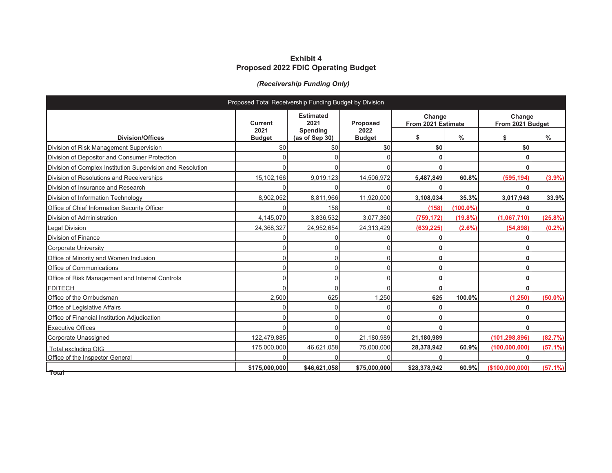### **Exhibit 4 Proposed 2022 FDIC Operating Budget**

## *(Receivership Funding Only)*

| Proposed Total Receivership Funding Budget by Division     |                        |                            |                         |                              |             |                            |               |  |  |  |  |
|------------------------------------------------------------|------------------------|----------------------------|-------------------------|------------------------------|-------------|----------------------------|---------------|--|--|--|--|
|                                                            | <b>Current</b><br>2021 | <b>Estimated</b><br>2021   | <b>Proposed</b><br>2022 | Change<br>From 2021 Estimate |             | Change<br>From 2021 Budget |               |  |  |  |  |
| <b>Division/Offices</b>                                    | <b>Budget</b>          | Spending<br>(as of Sep 30) | <b>Budget</b>           | \$                           | $\%$        | \$                         | $\frac{0}{0}$ |  |  |  |  |
| Division of Risk Management Supervision                    | \$0                    | \$0                        | \$0                     | \$0                          |             | \$0                        |               |  |  |  |  |
| Division of Depositor and Consumer Protection              |                        |                            |                         | ŋ                            |             |                            |               |  |  |  |  |
| Division of Complex Institution Supervision and Resolution |                        |                            |                         |                              |             |                            |               |  |  |  |  |
| Division of Resolutions and Receiverships                  | 15,102,166             | 9,019,123                  | 14,506,972              | 5,487,849                    | 60.8%       | (595, 194)                 | $(3.9\%)$     |  |  |  |  |
| Division of Insurance and Research                         | O                      |                            | U                       | ŋ                            |             |                            |               |  |  |  |  |
| Division of Information Technology                         | 8,902,052              | 8,811,966                  | 11,920,000              | 3,108,034                    | 35.3%       | 3,017,948                  | 33.9%         |  |  |  |  |
| Office of Chief Information Security Officer               |                        | 158                        |                         | (158)                        | $(100.0\%)$ |                            |               |  |  |  |  |
| Division of Administration                                 | 4,145,070              | 3,836,532                  | 3,077,360               | (759, 172)                   | (19.8%      | (1,067,710)                | (25.8%)       |  |  |  |  |
| Legal Division                                             | 24,368,327             | 24,952,654                 | 24,313,429              | (639, 225)                   | $(2.6\%)$   | (54, 898)                  | $(0.2\%)$     |  |  |  |  |
| <b>Division of Finance</b>                                 |                        |                            |                         |                              |             |                            |               |  |  |  |  |
| <b>Corporate University</b>                                |                        |                            |                         |                              |             |                            |               |  |  |  |  |
| Office of Minority and Women Inclusion                     | 0                      |                            |                         |                              |             |                            |               |  |  |  |  |
| Office of Communications                                   | $\Omega$               |                            |                         | ŋ                            |             |                            |               |  |  |  |  |
| Office of Risk Management and Internal Controls            | $\Omega$               |                            |                         | ሰ                            |             |                            |               |  |  |  |  |
| <b>FDITECH</b>                                             | $\Omega$               |                            |                         | ŋ                            |             |                            |               |  |  |  |  |
| Office of the Ombudsman                                    | 2,500                  | 625                        | 1,250                   | 625                          | 100.0%      | (1, 250)                   | $(50.0\%)$    |  |  |  |  |
| Office of Legislative Affairs                              | U                      |                            |                         |                              |             |                            |               |  |  |  |  |
| Office of Financial Institution Adjudication               | 0                      |                            |                         |                              |             |                            |               |  |  |  |  |
| <b>Executive Offices</b>                                   |                        |                            |                         |                              |             |                            |               |  |  |  |  |
| Corporate Unassigned                                       | 122,479,885            |                            | 21,180,989              | 21,180,989                   |             | (101, 298, 896)            | (82.7%)       |  |  |  |  |
| Total excluding OIG                                        | 175,000,000            | 46,621,058                 | 75,000,000              | 28,378,942                   | 60.9%       | (100, 000, 000)            | (57.1%)       |  |  |  |  |
| Office of the Inspector General                            |                        |                            |                         |                              |             |                            |               |  |  |  |  |
| $-$ Total $-$                                              | \$175,000,000          | \$46,621,058               | \$75,000,000            | \$28,378,942                 | 60.9%       | (\$100,000,000)            | (57.1%)       |  |  |  |  |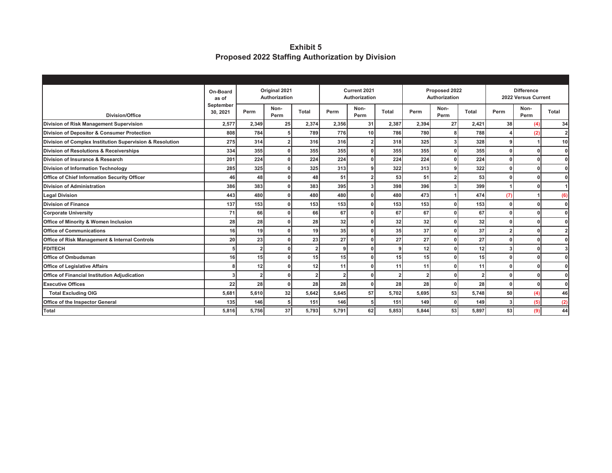**Exhibit 5 Proposed 2022 Staffing Authorization by Division** 

|                                                          | On-Board<br>as of     | Original 2021<br>Authorization |                |                | Current 2021<br>Authorization |              |              | Proposed 2022<br>Authorization |                |                 | <b>Difference</b><br>2022 Versus Current |              |              |
|----------------------------------------------------------|-----------------------|--------------------------------|----------------|----------------|-------------------------------|--------------|--------------|--------------------------------|----------------|-----------------|------------------------------------------|--------------|--------------|
| <b>Division/Office</b>                                   | September<br>30, 2021 | Perm                           | Non-<br>Perm   | <b>Total</b>   | Perm                          | Non-<br>Perm | <b>Total</b> | Perm                           | Non-<br>Perm   | <b>Total</b>    | Perm                                     | Non-<br>Perm | <b>Total</b> |
| Division of Risk Management Supervision                  | 2,577                 | 2,349                          | 25             | 2,374          | 2,356                         | 31           | 2,387        | 2,394                          | 27             | 2,421           | 38 <sup>l</sup>                          | (4)          | 34           |
| Division of Depositor & Consumer Protection              | 808                   | 784                            | 5 <sub>5</sub> | 789            | 776                           | 10           | 786          | 780                            | 8              | 788             |                                          | (2)          | $\mathbf{2}$ |
| Division of Complex Institution Supervision & Resolution | 275                   | 314                            | $\overline{2}$ | 316            | 316                           |              | 318          | 325                            | 3              | 328             |                                          |              | 10           |
| <b>Division of Resolutions &amp; Receiverships</b>       | 334                   | 355                            | $\mathbf{0}$   | 355            | 355                           |              | 355          | 355                            | $\Omega$       | 355             | n                                        |              | ΩI           |
| Division of Insurance & Research                         | 201                   | 224                            | οI             | 224            | 224                           |              | 224          | 224                            | 0              | 224             | n                                        |              | οI           |
| <b>Division of Information Technology</b>                | 285                   | 325                            | $\mathbf{0}$   | 325            | 313                           |              | 322          | 313                            | 9              | 322             |                                          |              | ΩI           |
| Office of Chief Information Security Officer             | 46                    | 48                             | $\mathbf{0}$   | 48             | 51                            |              | 53           | 51                             | $\overline{2}$ | 53              |                                          |              | ΩI           |
| <b>Division of Administration</b>                        | 386                   | 383                            | $\mathbf{0}$   | 383            | 395                           |              | 398          | 396                            | 3              | 399             |                                          |              |              |
| <b>Legal Division</b>                                    | 443                   | 480                            | $\mathbf{0}$   | 480            | 480                           |              | 480          | 473                            |                | 474             | (7)                                      |              | (6)          |
| <b>Division of Finance</b>                               | 137                   | 153                            | $\mathbf{0}$   | 153            | 153                           |              | 153          | 153                            | 0              | 153             | O                                        |              | ΩI           |
| <b>Corporate University</b>                              | 71                    | 66                             | $\mathbf{0}$   | 66             | 67                            |              | 67           | 67                             | $\mathbf{0}$   | 67              | U                                        |              |              |
| Office of Minority & Women Inclusion                     | 28                    | 28                             | $\mathbf{0}$   | 28             | 32                            |              | 32           | 32                             | 0              | 32              |                                          |              | ΩI           |
| <b>Office of Communications</b>                          | 16                    | 19                             | $\Omega$       | 19             | 35                            |              | 35           | 37                             | $\Omega$       | 37              | $\overline{2}$                           |              |              |
| Office of Risk Management & Internal Controls            | 20                    | 23                             | $\Omega$       | 23             | 27                            |              | 27           | 27                             | $\Omega$       | 27              |                                          |              | ΩI           |
| <b>FDITECH</b>                                           |                       |                                | 0              | $\overline{2}$ |                               |              | q            | 12                             | $\Omega$       | 12              |                                          |              |              |
| <b>Office of Ombudsman</b>                               | 16                    | 15                             | n              | 15             | 15                            |              | 15           | 15                             | 0              | 15 <sup>1</sup> | n                                        |              | ΩI           |
| <b>Office of Legislative Affairs</b>                     |                       | 12                             |                | 12             | 11                            |              | 11           | 11                             | 0              | 11              |                                          |              | οI           |
| Office of Financial Institution Adjudication             |                       |                                | $\mathbf{0}$   |                |                               |              |              | $\overline{2}$                 | $\mathbf{0}$   | $\overline{2}$  |                                          |              | ΩI           |
| <b>Executive Offices</b>                                 | 22                    | 28                             | $\mathbf{0}$   | 28             | 28                            |              | 28           | 28                             | 0              | 28              | n                                        |              | οI           |
| <b>Total Excluding OIG</b>                               | 5,681                 | 5,610                          | 32             | 5,642          | 5,645                         | 57           | 5,702        | 5,695                          | 53             | 5,748           | 50 <sup>1</sup>                          | (4)          | 46           |
| Office of the Inspector General                          | 135                   | 146                            | 5 <sub>5</sub> | 151            | 146                           |              | 151          | 149                            | 0              | 149             | 3                                        | (5)          | (2)          |
| <b>Total</b>                                             | 5,816                 | 5,756                          | 37             | 5,793          | 5,791                         | 62           | 5,853        | 5,844                          | 53             | 5,897           | 53                                       | (9)          | 44           |